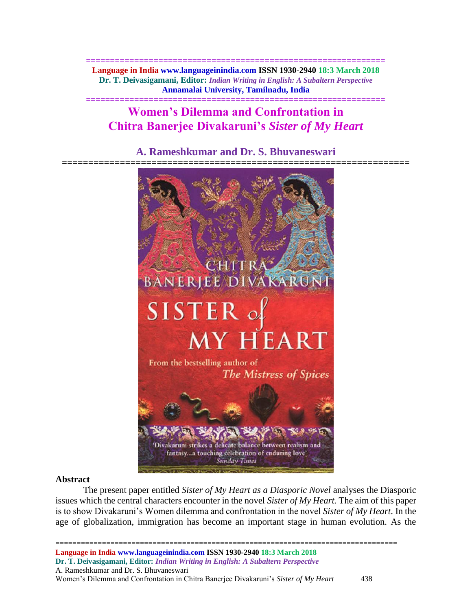**============================================================== Language in India www.languageinindia.com ISSN 1930-2940 18:3 March 2018 Dr. T. Deivasigamani, Editor:** *Indian Writing in English: A Subaltern Perspective* **Annamalai University, Tamilnadu, India**

# **Women's Dilemma and Confrontation in Chitra Banerjee Divakaruni's** *Sister of My Heart*

**==============================================================**

# **A. Rameshkumar and Dr. S. Bhuvaneswari**



# **Abstract**

The present paper entitled *Sister of My Heart as a Diasporic Novel* analyses the Diasporic issues which the central characters encounter in the novel *Sister of My Heart.* The aim of this paper is to show Divakaruni's Women dilemma and confrontation in the novel *Sister of My Heart*. In the age of globalization, immigration has become an important stage in human evolution. As the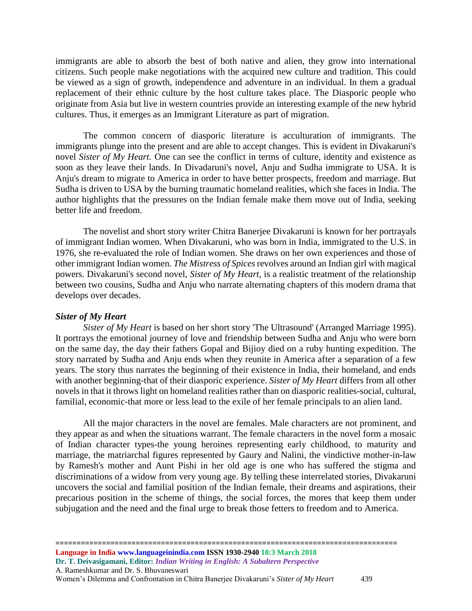immigrants are able to absorb the best of both native and alien, they grow into international citizens. Such people make negotiations with the acquired new culture and tradition. This could be viewed as a sign of growth, independence and adventure in an individual. In them a gradual replacement of their ethnic culture by the host culture takes place. The Diasporic people who originate from Asia but live in western countries provide an interesting example of the new hybrid cultures. Thus, it emerges as an Immigrant Literature as part of migration.

The common concern of diasporic literature is acculturation of immigrants. The immigrants plunge into the present and are able to accept changes. This is evident in Divakaruni's novel *Sister of My Heart.* One can see the conflict in terms of culture, identity and existence as soon as they leave their lands. In Divadaruni's novel, Anju and Sudha immigrate to USA. It is Anju's dream to migrate to America in order to have better prospects, freedom and marriage. But Sudha is driven to USA by the burning traumatic homeland realities, which she faces in India. The author highlights that the pressures on the Indian female make them move out of India, seeking better life and freedom.

The novelist and short story writer Chitra Banerjee Divakaruni is known for her portrayals of immigrant Indian women. When Divakaruni, who was born in India, immigrated to the U.S. in 1976, she re-evaluated the role of Indian women. She draws on her own experiences and those of other immigrant Indian women. *The Mistress of Spices* revolves around an Indian girl with magical powers. Divakaruni's second novel, *Sister of My Heart*, is a realistic treatment of the relationship between two cousins, Sudha and Anju who narrate alternating chapters of this modern drama that develops over decades.

#### *Sister of My Heart*

*Sister of My Heart* is based on her short story 'The Ultrasound' (Arranged Marriage 1995). It portrays the emotional journey of love and friendship between Sudha and Anju who were born on the same day, the day their fathers Gopal and Bijioy died on a ruby hunting expedition. The story narrated by Sudha and Anju ends when they reunite in America after a separation of a few years. The story thus narrates the beginning of their existence in India, their homeland, and ends with another beginning-that of their diasporic experience. *Sister of My Heart* differs from all other novels in that it throws light on homeland realities rather than on diasporic realities-social, cultural, familial, economic-that more or less lead to the exile of her female principals to an alien land.

All the major characters in the novel are females. Male characters are not prominent, and they appear as and when the situations warrant. The female characters in the novel form a mosaic of Indian character types-the young heroines representing early childhood, to maturity and marriage, the matriarchal figures represented by Gaury and Nalini, the vindictive mother-in-law by Ramesh's mother and Aunt Pishi in her old age is one who has suffered the stigma and discriminations of a widow from very young age. By telling these interrelated stories, Divakaruni uncovers the social and familial position of the Indian female, their dreams and aspirations, their precarious position in the scheme of things, the social forces, the mores that keep them under subjugation and the need and the final urge to break those fetters to freedom and to America.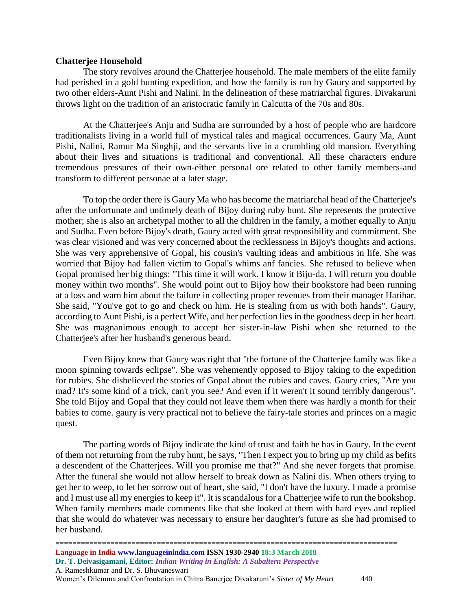# **Chatterjee Household**

The story revolves around the Chatterjee household. The male members of the elite family had perished in a gold hunting expedition, and how the family is run by Gaury and supported by two other elders-Aunt Pishi and Nalini. In the delineation of these matriarchal figures. Divakaruni throws light on the tradition of an aristocratic family in Calcutta of the 70s and 80s.

At the Chatterjee's Anju and Sudha are surrounded by a host of people who are hardcore traditionalists living in a world full of mystical tales and magical occurrences. Gaury Ma, Aunt Pishi, Nalini, Ramur Ma Singhji, and the servants live in a crumbling old mansion. Everything about their lives and situations is traditional and conventional. All these characters endure tremendous pressures of their own-either personal ore related to other family members-and transform to different personae at a later stage.

To top the order there is Gaury Ma who has become the matriarchal head of the Chatterjee's after the unfortunate and untimely death of Bijoy during ruby hunt. She represents the protective mother; she is also an archetypal mother to all the children in the family, a mother equally to Anju and Sudha. Even before Bijoy's death, Gaury acted with great responsibility and commitment. She was clear visioned and was very concerned about the recklessness in Bijoy's thoughts and actions. She was very apprehensive of Gopal, his cousin's vaulting ideas and ambitious in life. She was worried that Bijoy had fallen victim to Gopal's whims anf fancies. She refused to believe when Gopal promised her big things: "This time it will work. I know it Biju-da. I will return you double money within two months". She would point out to Bijoy how their bookstore had been running at a loss and warn him about the failure in collecting proper revenues from their manager Harihar. She said, "You've got to go and check on him. He is stealing from us with both hands". Gaury, according to Aunt Pishi, is a perfect Wife, and her perfection lies in the goodness deep in her heart. She was magnanimous enough to accept her sister-in-law Pishi when she returned to the Chatterjee's after her husband's generous beard.

Even Bijoy knew that Gaury was right that "the fortune of the Chatterjee family was like a moon spinning towards eclipse". She was vehemently opposed to Bijoy taking to the expedition for rubies. She disbelieved the stories of Gopal about the rubies and caves. Gaury cries, "Are you mad? It's some kind of a trick, can't you see? And even if it weren't it sound terribly dangerous". She told Bijoy and Gopal that they could not leave them when there was hardly a month for their babies to come. gaury is very practical not to believe the fairy-tale stories and princes on a magic quest.

The parting words of Bijoy indicate the kind of trust and faith he has in Gaury. In the event of them not returning from the ruby hunt, he says, "Then I expect you to bring up my child as befits a descendent of the Chatterjees. Will you promise me that?" And she never forgets that promise. After the funeral she would not allow herself to break down as Nalini dis. When others trying to get her to weep, to let her sorrow out of heart, she said, "I don't have the luxury. I made a promise and I must use all my energies to keep it". It is scandalous for a Chatterjee wife to run the bookshop. When family members made comments like that she looked at them with hard eyes and replied that she would do whatever was necessary to ensure her daughter's future as she had promised to her husband.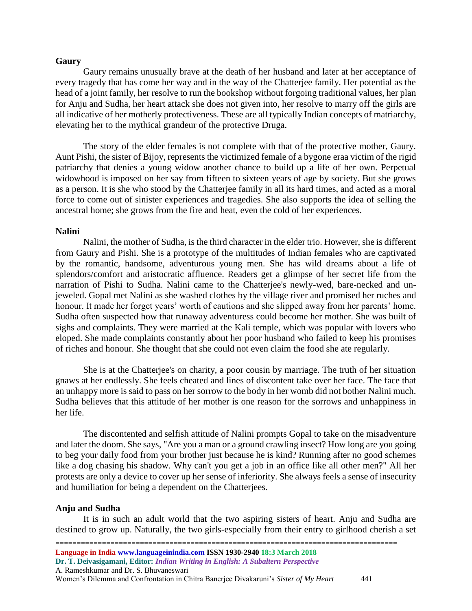#### **Gaury**

Gaury remains unusually brave at the death of her husband and later at her acceptance of every tragedy that has come her way and in the way of the Chatterjee family. Her potential as the head of a joint family, her resolve to run the bookshop without forgoing traditional values, her plan for Anju and Sudha, her heart attack she does not given into, her resolve to marry off the girls are all indicative of her motherly protectiveness. These are all typically Indian concepts of matriarchy, elevating her to the mythical grandeur of the protective Druga.

The story of the elder females is not complete with that of the protective mother, Gaury. Aunt Pishi, the sister of Bijoy, represents the victimized female of a bygone eraa victim of the rigid patriarchy that denies a young widow another chance to build up a life of her own. Perpetual widowhood is imposed on her say from fifteen to sixteen years of age by society. But she grows as a person. It is she who stood by the Chatterjee family in all its hard times, and acted as a moral force to come out of sinister experiences and tragedies. She also supports the idea of selling the ancestral home; she grows from the fire and heat, even the cold of her experiences.

#### **Nalini**

Nalini, the mother of Sudha, is the third character in the elder trio. However, she is different from Gaury and Pishi. She is a prototype of the multitudes of Indian females who are captivated by the romantic, handsome, adventurous young men. She has wild dreams about a life of splendors/comfort and aristocratic affluence. Readers get a glimpse of her secret life from the narration of Pishi to Sudha. Nalini came to the Chatterjee's newly-wed, bare-necked and unjeweled. Gopal met Nalini as she washed clothes by the village river and promised her ruches and honour. It made her forget years' worth of cautions and she slipped away from her parents' home. Sudha often suspected how that runaway adventuress could become her mother. She was built of sighs and complaints. They were married at the Kali temple, which was popular with lovers who eloped. She made complaints constantly about her poor husband who failed to keep his promises of riches and honour. She thought that she could not even claim the food she ate regularly.

She is at the Chatterjee's on charity, a poor cousin by marriage. The truth of her situation gnaws at her endlessly. She feels cheated and lines of discontent take over her face. The face that an unhappy more is said to pass on her sorrow to the body in her womb did not bother Nalini much. Sudha believes that this attitude of her mother is one reason for the sorrows and unhappiness in her life.

The discontented and selfish attitude of Nalini prompts Gopal to take on the misadventure and later the doom. She says, "Are you a man or a ground crawling insect? How long are you going to beg your daily food from your brother just because he is kind? Running after no good schemes like a dog chasing his shadow. Why can't you get a job in an office like all other men?" All her protests are only a device to cover up her sense of inferiority. She always feels a sense of insecurity and humiliation for being a dependent on the Chatterjees.

#### **Anju and Sudha**

It is in such an adult world that the two aspiring sisters of heart. Anju and Sudha are destined to grow up. Naturally, the two girls-especially from their entry to girlhood cherish a set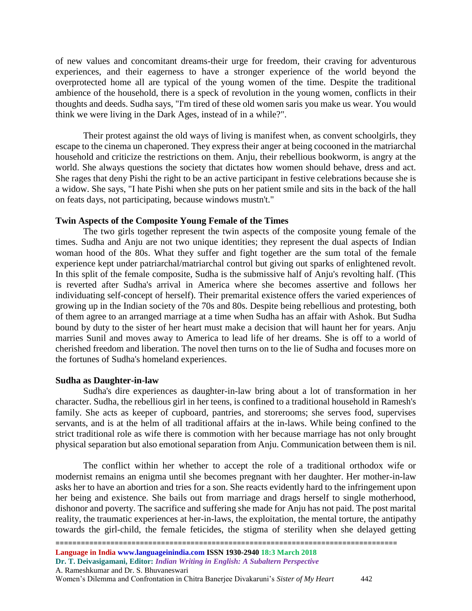of new values and concomitant dreams-their urge for freedom, their craving for adventurous experiences, and their eagerness to have a stronger experience of the world beyond the overprotected home all are typical of the young women of the time. Despite the traditional ambience of the household, there is a speck of revolution in the young women, conflicts in their thoughts and deeds. Sudha says, "I'm tired of these old women saris you make us wear. You would think we were living in the Dark Ages, instead of in a while?".

Their protest against the old ways of living is manifest when, as convent schoolgirls, they escape to the cinema un chaperoned. They express their anger at being cocooned in the matriarchal household and criticize the restrictions on them. Anju, their rebellious bookworm, is angry at the world. She always questions the society that dictates how women should behave, dress and act. She rages that deny Pishi the right to be an active participant in festive celebrations because she is a widow. She says, "I hate Pishi when she puts on her patient smile and sits in the back of the hall on feats days, not participating, because windows mustn't."

### **Twin Aspects of the Composite Young Female of the Times**

The two girls together represent the twin aspects of the composite young female of the times. Sudha and Anju are not two unique identities; they represent the dual aspects of Indian woman hood of the 80s. What they suffer and fight together are the sum total of the female experience kept under patriarchal/matriarchal control but giving out sparks of enlightened revolt. In this split of the female composite, Sudha is the submissive half of Anju's revolting half. (This is reverted after Sudha's arrival in America where she becomes assertive and follows her individuating self-concept of herself). Their premarital existence offers the varied experiences of growing up in the Indian society of the 70s and 80s. Despite being rebellious and protesting, both of them agree to an arranged marriage at a time when Sudha has an affair with Ashok. But Sudha bound by duty to the sister of her heart must make a decision that will haunt her for years. Anju marries Sunil and moves away to America to lead life of her dreams. She is off to a world of cherished freedom and liberation. The novel then turns on to the lie of Sudha and focuses more on the fortunes of Sudha's homeland experiences.

#### **Sudha as Daughter-in-law**

Sudha's dire experiences as daughter-in-law bring about a lot of transformation in her character. Sudha, the rebellious girl in her teens, is confined to a traditional household in Ramesh's family. She acts as keeper of cupboard, pantries, and storerooms; she serves food, supervises servants, and is at the helm of all traditional affairs at the in-laws. While being confined to the strict traditional role as wife there is commotion with her because marriage has not only brought physical separation but also emotional separation from Anju. Communication between them is nil.

The conflict within her whether to accept the role of a traditional orthodox wife or modernist remains an enigma until she becomes pregnant with her daughter. Her mother-in-law asks her to have an abortion and tries for a son. She reacts evidently hard to the infringement upon her being and existence. She bails out from marriage and drags herself to single motherhood, dishonor and poverty. The sacrifice and suffering she made for Anju has not paid. The post marital reality, the traumatic experiences at her-in-laws, the exploitation, the mental torture, the antipathy towards the girl-child, the female feticides, the stigma of sterility when she delayed getting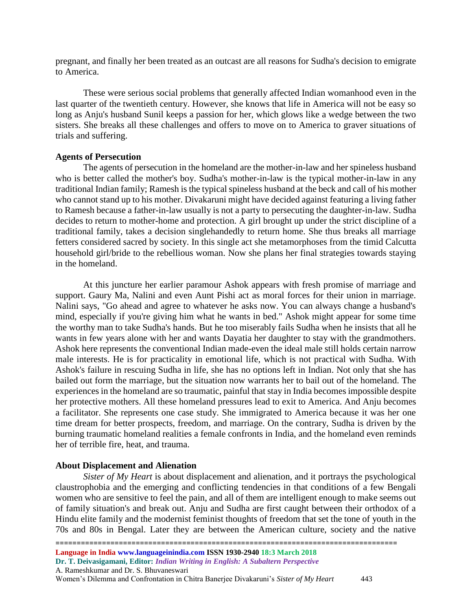pregnant, and finally her been treated as an outcast are all reasons for Sudha's decision to emigrate to America.

These were serious social problems that generally affected Indian womanhood even in the last quarter of the twentieth century. However, she knows that life in America will not be easy so long as Anju's husband Sunil keeps a passion for her, which glows like a wedge between the two sisters. She breaks all these challenges and offers to move on to America to graver situations of trials and suffering.

# **Agents of Persecution**

The agents of persecution in the homeland are the mother-in-law and her spineless husband who is better called the mother's boy. Sudha's mother-in-law is the typical mother-in-law in any traditional Indian family; Ramesh is the typical spineless husband at the beck and call of his mother who cannot stand up to his mother. Divakaruni might have decided against featuring a living father to Ramesh because a father-in-law usually is not a party to persecuting the daughter-in-law. Sudha decides to return to mother-home and protection. A girl brought up under the strict discipline of a traditional family, takes a decision singlehandedly to return home. She thus breaks all marriage fetters considered sacred by society. In this single act she metamorphoses from the timid Calcutta household girl/bride to the rebellious woman. Now she plans her final strategies towards staying in the homeland.

At this juncture her earlier paramour Ashok appears with fresh promise of marriage and support. Gaury Ma, Nalini and even Aunt Pishi act as moral forces for their union in marriage. Nalini says, "Go ahead and agree to whatever he asks now. You can always change a husband's mind, especially if you're giving him what he wants in bed." Ashok might appear for some time the worthy man to take Sudha's hands. But he too miserably fails Sudha when he insists that all he wants in few years alone with her and wants Dayatia her daughter to stay with the grandmothers. Ashok here represents the conventional Indian made-even the ideal male still holds certain narrow male interests. He is for practicality in emotional life, which is not practical with Sudha. With Ashok's failure in rescuing Sudha in life, she has no options left in Indian. Not only that she has bailed out form the marriage, but the situation now warrants her to bail out of the homeland. The experiences in the homeland are so traumatic, painful that stay in India becomes impossible despite her protective mothers. All these homeland pressures lead to exit to America. And Anju becomes a facilitator. She represents one case study. She immigrated to America because it was her one time dream for better prospects, freedom, and marriage. On the contrary, Sudha is driven by the burning traumatic homeland realities a female confronts in India, and the homeland even reminds her of terrible fire, heat, and trauma.

# **About Displacement and Alienation**

*Sister of My Heart* is about displacement and alienation, and it portrays the psychological claustrophobia and the emerging and conflicting tendencies in that conditions of a few Bengali women who are sensitive to feel the pain, and all of them are intelligent enough to make seems out of family situation's and break out. Anju and Sudha are first caught between their orthodox of a Hindu elite family and the modernist feminist thoughts of freedom that set the tone of youth in the 70s and 80s in Bengal. Later they are between the American culture, society and the native